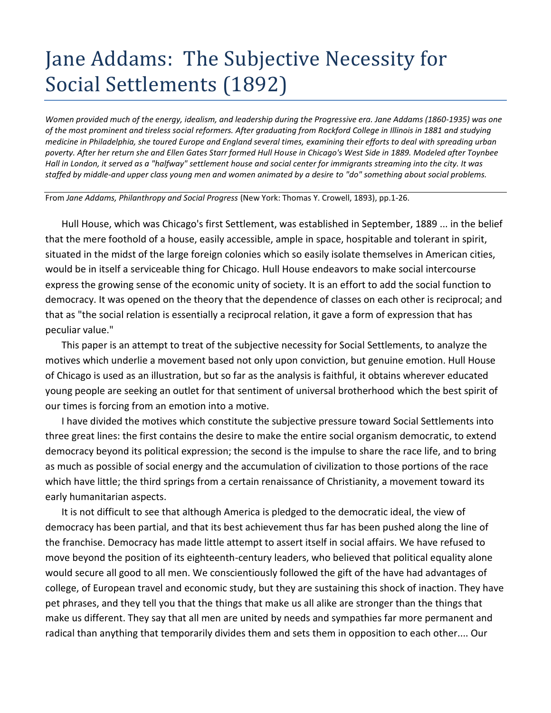## Jane Addams: The Subjective Necessity for Social Settlements (1892)

*Women provided much of the energy, idealism, and leadership during the Progressive era. Jane Addams (1860-1935) was one of the most prominent and tireless social reformers. After graduating from Rockford College in Illinois in 1881 and studying medicine in Philadelphia, she toured Europe and England several times, examining their efforts to deal with spreading urban poverty. After her return she and Ellen Gates Starr formed Hull House in Chicago's West Side in 1889. Modeled after Toynbee Hall in London, it served as a "halfway" settlement house and social center for immigrants streaming into the city. It was staffed by middle-and upper class young men and women animated by a desire to "do" something about social problems.* 

From *Jane Addams, Philanthropy and Social Progress* (New York: Thomas Y. Crowell, 1893), pp.1-26.

Hull House, which was Chicago's first Settlement, was established in September, 1889 ... in the belief that the mere foothold of a house, easily accessible, ample in space, hospitable and tolerant in spirit, situated in the midst of the large foreign colonies which so easily isolate themselves in American cities, would be in itself a serviceable thing for Chicago. Hull House endeavors to make social intercourse express the growing sense of the economic unity of society. It is an effort to add the social function to democracy. It was opened on the theory that the dependence of classes on each other is reciprocal; and that as "the social relation is essentially a reciprocal relation, it gave a form of expression that has peculiar value."

This paper is an attempt to treat of the subjective necessity for Social Settlements, to analyze the motives which underlie a movement based not only upon conviction, but genuine emotion. Hull House of Chicago is used as an illustration, but so far as the analysis is faithful, it obtains wherever educated young people are seeking an outlet for that sentiment of universal brotherhood which the best spirit of our times is forcing from an emotion into a motive.

I have divided the motives which constitute the subjective pressure toward Social Settlements into three great lines: the first contains the desire to make the entire social organism democratic, to extend democracy beyond its political expression; the second is the impulse to share the race life, and to bring as much as possible of social energy and the accumulation of civilization to those portions of the race which have little; the third springs from a certain renaissance of Christianity, a movement toward its early humanitarian aspects.

It is not difficult to see that although America is pledged to the democratic ideal, the view of democracy has been partial, and that its best achievement thus far has been pushed along the line of the franchise. Democracy has made little attempt to assert itself in social affairs. We have refused to move beyond the position of its eighteenth-century leaders, who believed that political equality alone would secure all good to all men. We conscientiously followed the gift of the have had advantages of college, of European travel and economic study, but they are sustaining this shock of inaction. They have pet phrases, and they tell you that the things that make us all alike are stronger than the things that make us different. They say that all men are united by needs and sympathies far more permanent and radical than anything that temporarily divides them and sets them in opposition to each other.... Our